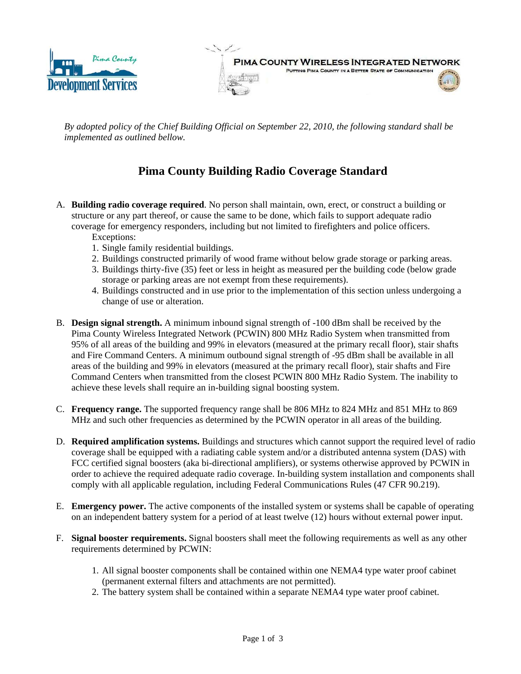

PIMA COUNTY WIRELESS INTEGRATED NETWORK PUTTING PIMA COUNTY IN A BETTER STATE OF COMMUNICATION

*By adopted policy of the Chief Building Official on September 22, 2010, the following standard shall be implemented as outlined bellow.* 

## **Pima County Building Radio Coverage Standard**

- A. **Building radio coverage required**. No person shall maintain, own, erect, or construct a building or structure or any part thereof, or cause the same to be done, which fails to support adequate radio coverage for emergency responders, including but not limited to firefighters and police officers.
	- Exceptions:
	- 1. Single family residential buildings.
	- 2. Buildings constructed primarily of wood frame without below grade storage or parking areas.
	- 3. Buildings thirty-five (35) feet or less in height as measured per the building code (below grade storage or parking areas are not exempt from these requirements).
	- 4. Buildings constructed and in use prior to the implementation of this section unless undergoing a change of use or alteration.
- B. **Design signal strength.** A minimum inbound signal strength of -100 dBm shall be received by the Pima County Wireless Integrated Network (PCWIN) 800 MHz Radio System when transmitted from 95% of all areas of the building and 99% in elevators (measured at the primary recall floor), stair shafts and Fire Command Centers. A minimum outbound signal strength of -95 dBm shall be available in all areas of the building and 99% in elevators (measured at the primary recall floor), stair shafts and Fire Command Centers when transmitted from the closest PCWIN 800 MHz Radio System. The inability to achieve these levels shall require an in-building signal boosting system.
- C. **Frequency range.** The supported frequency range shall be 806 MHz to 824 MHz and 851 MHz to 869 MHz and such other frequencies as determined by the PCWIN operator in all areas of the building.
- D. **Required amplification systems.** Buildings and structures which cannot support the required level of radio coverage shall be equipped with a radiating cable system and/or a distributed antenna system (DAS) with FCC certified signal boosters (aka bi-directional amplifiers), or systems otherwise approved by PCWIN in order to achieve the required adequate radio coverage. In-building system installation and components shall comply with all applicable regulation, including Federal Communications Rules (47 CFR 90.219).
- E. **Emergency power.** The active components of the installed system or systems shall be capable of operating on an independent battery system for a period of at least twelve (12) hours without external power input.
- F. **Signal booster requirements.** Signal boosters shall meet the following requirements as well as any other requirements determined by PCWIN:
	- 1. All signal booster components shall be contained within one NEMA4 type water proof cabinet (permanent external filters and attachments are not permitted).
	- 2. The battery system shall be contained within a separate NEMA4 type water proof cabinet.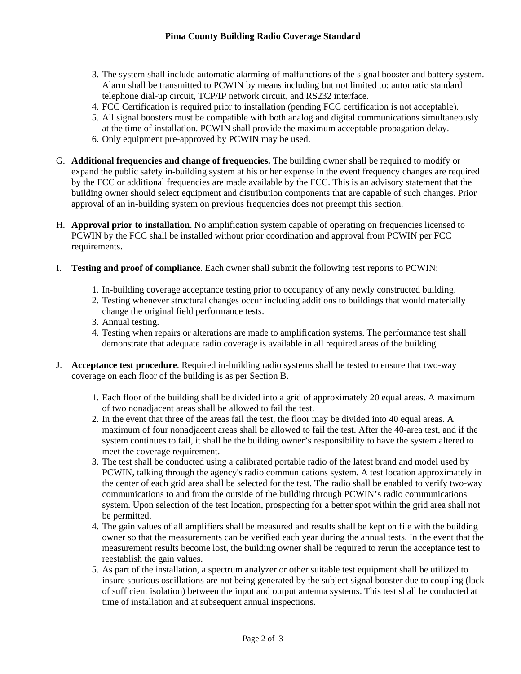- 3. The system shall include automatic alarming of malfunctions of the signal booster and battery system. Alarm shall be transmitted to PCWIN by means including but not limited to: automatic standard telephone dial-up circuit, TCP/IP network circuit, and RS232 interface.
- 4. FCC Certification is required prior to installation (pending FCC certification is not acceptable).
- 5. All signal boosters must be compatible with both analog and digital communications simultaneously at the time of installation. PCWIN shall provide the maximum acceptable propagation delay.
- 6. Only equipment pre-approved by PCWIN may be used.
- G. **Additional frequencies and change of frequencies.** The building owner shall be required to modify or expand the public safety in-building system at his or her expense in the event frequency changes are required by the FCC or additional frequencies are made available by the FCC. This is an advisory statement that the building owner should select equipment and distribution components that are capable of such changes. Prior approval of an in-building system on previous frequencies does not preempt this section.
- H. **Approval prior to installation**. No amplification system capable of operating on frequencies licensed to PCWIN by the FCC shall be installed without prior coordination and approval from PCWIN per FCC requirements.
- I. **Testing and proof of compliance**. Each owner shall submit the following test reports to PCWIN:
	- 1. In-building coverage acceptance testing prior to occupancy of any newly constructed building.
	- 2. Testing whenever structural changes occur including additions to buildings that would materially change the original field performance tests.
	- 3. Annual testing.
	- 4. Testing when repairs or alterations are made to amplification systems. The performance test shall demonstrate that adequate radio coverage is available in all required areas of the building.
- J. **Acceptance test procedure**. Required in-building radio systems shall be tested to ensure that two-way coverage on each floor of the building is as per Section B.
	- 1. Each floor of the building shall be divided into a grid of approximately 20 equal areas. A maximum of two nonadjacent areas shall be allowed to fail the test.
	- 2. In the event that three of the areas fail the test, the floor may be divided into 40 equal areas. A maximum of four nonadjacent areas shall be allowed to fail the test. After the 40-area test, and if the system continues to fail, it shall be the building owner's responsibility to have the system altered to meet the coverage requirement.
	- 3. The test shall be conducted using a calibrated portable radio of the latest brand and model used by PCWIN, talking through the agency's radio communications system. A test location approximately in the center of each grid area shall be selected for the test. The radio shall be enabled to verify two-way communications to and from the outside of the building through PCWIN's radio communications system. Upon selection of the test location, prospecting for a better spot within the grid area shall not be permitted.
	- 4. The gain values of all amplifiers shall be measured and results shall be kept on file with the building owner so that the measurements can be verified each year during the annual tests. In the event that the measurement results become lost, the building owner shall be required to rerun the acceptance test to reestablish the gain values.
	- 5. As part of the installation, a spectrum analyzer or other suitable test equipment shall be utilized to insure spurious oscillations are not being generated by the subject signal booster due to coupling (lack of sufficient isolation) between the input and output antenna systems. This test shall be conducted at time of installation and at subsequent annual inspections.